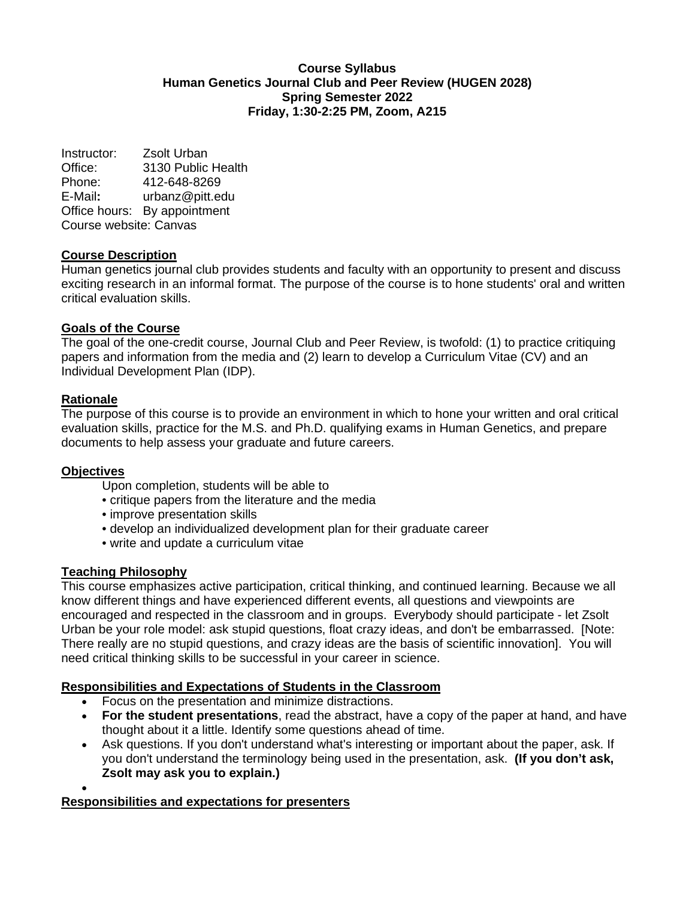#### **Course Syllabus Human Genetics Journal Club and Peer Review (HUGEN 2028) Spring Semester 2022 Friday, 1:30-2:25 PM, Zoom, A215**

Instructor: Zsolt Urban Office: 3130 Public Health<br>Phone: 412-648-8269 Phone: 412-648-8269 E-Mail**:** urbanz@pitt.edu Office hours: By appointment Course website: Canvas

# **Course Description**

Human genetics journal club provides students and faculty with an opportunity to present and discuss exciting research in an informal format. The purpose of the course is to hone students' oral and written critical evaluation skills.

## **Goals of the Course**

The goal of the one-credit course, Journal Club and Peer Review, is twofold: (1) to practice critiquing papers and information from the media and (2) learn to develop a Curriculum Vitae (CV) and an Individual Development Plan (IDP).

## **Rationale**

The purpose of this course is to provide an environment in which to hone your written and oral critical evaluation skills, practice for the M.S. and Ph.D. qualifying exams in Human Genetics, and prepare documents to help assess your graduate and future careers.

## **Objectives**

•

Upon completion, students will be able to

- critique papers from the literature and the media
- improve presentation skills
- develop an individualized development plan for their graduate career
- write and update a curriculum vitae

#### **Teaching Philosophy**

This course emphasizes active participation, critical thinking, and continued learning. Because we all know different things and have experienced different events, all questions and viewpoints are encouraged and respected in the classroom and in groups. Everybody should participate - let Zsolt Urban be your role model: ask stupid questions, float crazy ideas, and don't be embarrassed. [Note: There really are no stupid questions, and crazy ideas are the basis of scientific innovation]. You will need critical thinking skills to be successful in your career in science.

## **Responsibilities and Expectations of Students in the Classroom**

- Focus on the presentation and minimize distractions.
- **For the student presentations**, read the abstract, have a copy of the paper at hand, and have thought about it a little. Identify some questions ahead of time.
- Ask questions. If you don't understand what's interesting or important about the paper, ask. If you don't understand the terminology being used in the presentation, ask. **(If you don't ask, Zsolt may ask you to explain.)**

## **[Responsibilities and expectations for presenters](http://www.hgen.pitt.edu/journal_club.php)**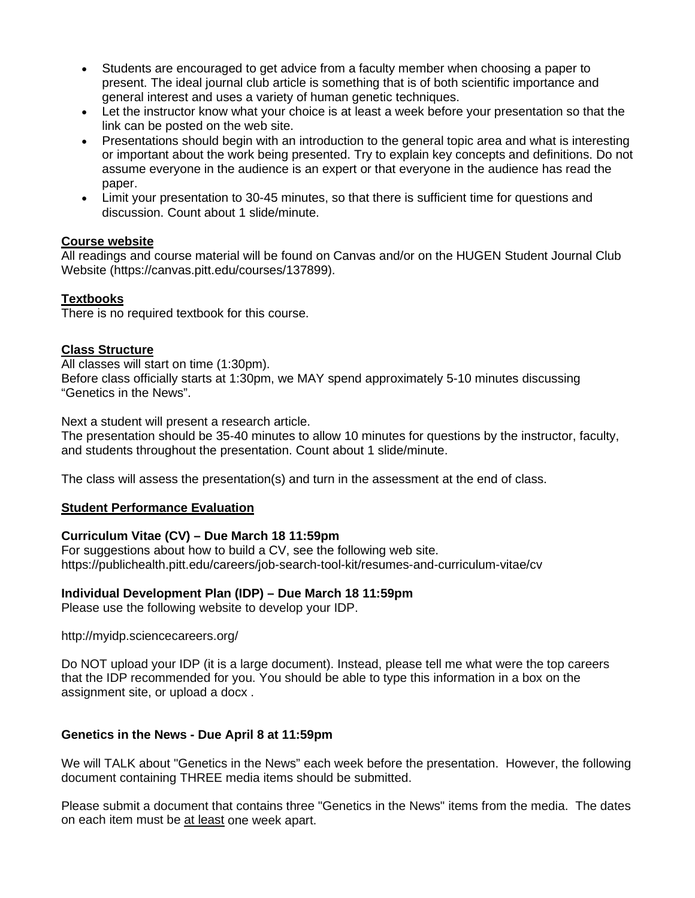- Students are encouraged to get advice from a faculty member when choosing a paper to present. The ideal journal club article is something that is of both scientific importance and general interest and uses a variety of human genetic techniques.
- Let the instructor know what your choice is at least a week before your presentation so that the link can be posted on the web site.
- Presentations should begin with an introduction to the general topic area and what is interesting or important about the work being presented. Try to explain key concepts and definitions. Do not assume everyone in the audience is an expert or that everyone in the audience has read the paper.
- Limit your presentation to 30-45 minutes, so that there is sufficient time for questions and discussion. Count about 1 slide/minute.

# **Course website**

All readings and course material will be found on Canvas and/or on the HUGEN Student Journal Club Website (https://canvas.pitt.edu/courses/137899).

# **Textbooks**

There is no required textbook for this course.

# **Class Structure**

All classes will start on time (1:30pm). Before class officially starts at 1:30pm, we MAY spend approximately 5-10 minutes discussing "Genetics in the News".

Next a student will present a research article.

The presentation should be 35-40 minutes to allow 10 minutes for questions by the instructor, faculty, and students throughout the presentation. Count about 1 slide/minute.

The class will assess the presentation(s) and turn in the assessment at the end of class.

## **Student Performance Evaluation**

## **Curriculum Vitae (CV) – Due March 18 11:59pm**

For suggestions about how to build a CV, see the following web site. https://publichealth.pitt.edu/careers/job-search-tool-kit/resumes-and-curriculum-vitae/cv

## **Individual Development Plan (IDP) – Due March 18 11:59pm**

Please use the following website to develop your IDP.

http://myidp.sciencecareers.org/

Do NOT upload your IDP (it is a large document). Instead, please tell me what were the top careers that the IDP recommended for you. You should be able to type this information in a box on the assignment site, or upload a docx .

## **Genetics in the News - Due April 8 at 11:59pm**

We will TALK about "Genetics in the News" each week before the presentation. However, the following document containing THREE media items should be submitted.

Please submit a document that contains three "Genetics in the News" items from the media. The dates on each item must be at least one week apart.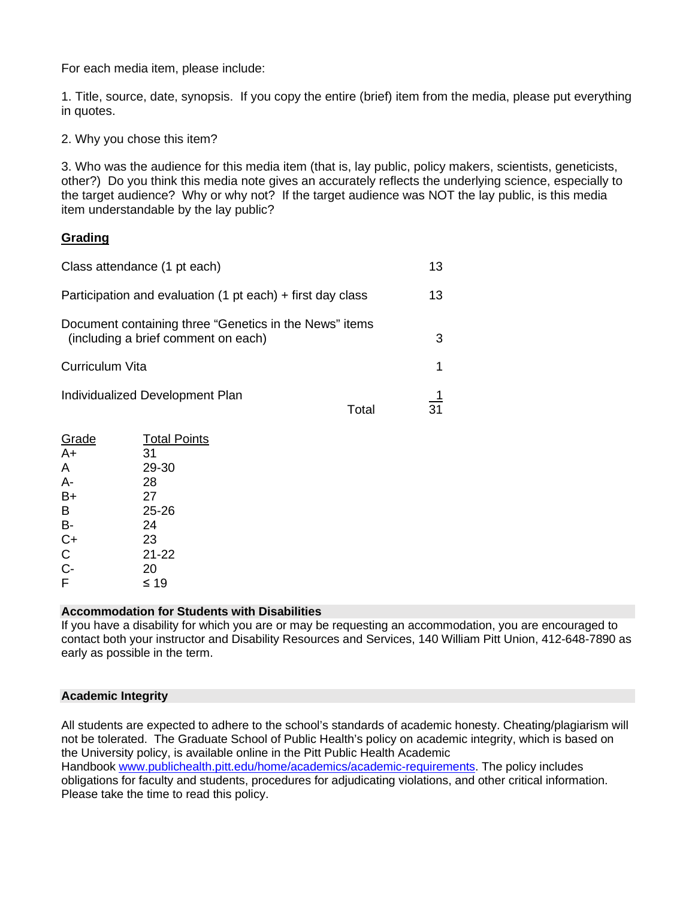For each media item, please include:

1. Title, source, date, synopsis. If you copy the entire (brief) item from the media, please put everything in quotes.

2. Why you chose this item?

3. Who was the audience for this media item (that is, lay public, policy makers, scientists, geneticists, other?) Do you think this media note gives an accurately reflects the underlying science, especially to the target audience? Why or why not? If the target audience was NOT the lay public, is this media item understandable by the lay public?

## **Grading**

| Class attendance (1 pt each)                                                                  |       | 13             |
|-----------------------------------------------------------------------------------------------|-------|----------------|
| Participation and evaluation (1 pt each) $+$ first day class                                  |       | 13             |
| Document containing three "Genetics in the News" items<br>(including a brief comment on each) |       | 3              |
| Curriculum Vita                                                                               |       | 1              |
| Individualized Development Plan                                                               | Total | $\frac{1}{31}$ |

| <b>Total Points</b> |
|---------------------|
| 31                  |
| 29-30               |
| 28                  |
| 27                  |
| $25 - 26$           |
| 24                  |
| 23                  |
| 21-22               |
| 20                  |
| ≤ 19                |
|                     |

#### **Accommodation for Students with Disabilities**

If you have a disability for which you are or may be requesting an accommodation, you are encouraged to contact both your instructor and Disability Resources and Services, 140 William Pitt Union, 412-648-7890 as early as possible in the term.

#### **Academic Integrity**

All students are expected to adhere to the school's standards of academic honesty. Cheating/plagiarism will not be tolerated. The Graduate School of Public Health's policy on academic integrity, which is based on the University policy, is available online in the Pitt Public Health Academic Handbook [www.publichealth.pitt.edu/home/academics/academic-requirements.](https://nam05.safelinks.protection.outlook.com/?url=http%3A%2F%2Fwww.publichealth.pitt.edu%2Fhome%2Facademics%2Facademic-requirements&data=02%7C01%7Cromanb%40pitt.edu%7Cbc2675531f5547f632bf08d71f4d538f%7C9ef9f489e0a04eeb87cc3a526112fd0d%7C1%7C0%7C637012289291834499&sdata=wXcI0ZFsEpnzURPIqw4Wa%2Fko5dLBCi5PRm3ZNJund68%3D&reserved=0) The policy includes obligations for faculty and students, procedures for adjudicating violations, and other critical information. Please take the time to read this policy.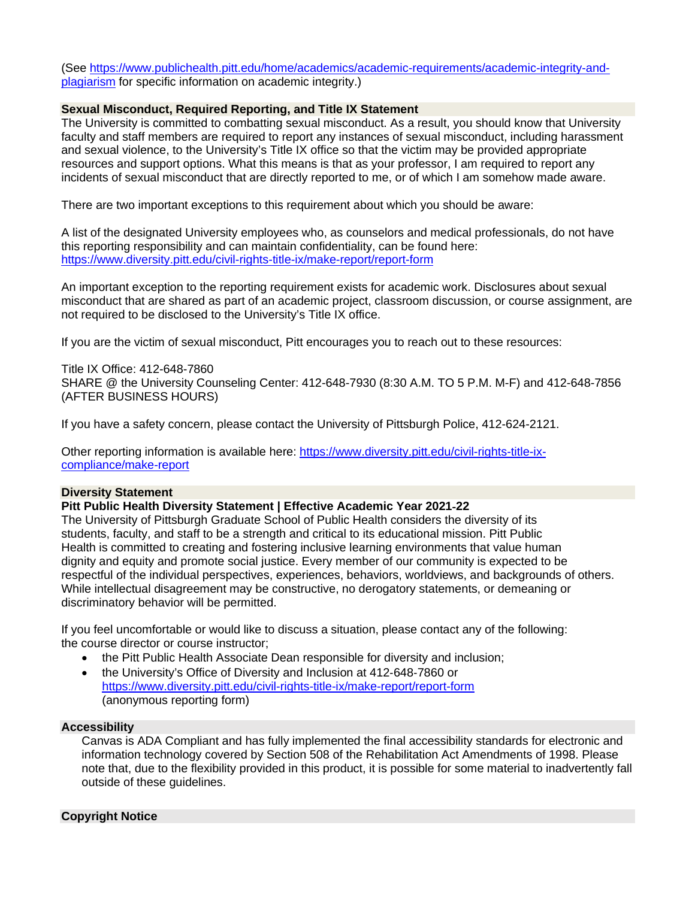(See [https://www.publichealth.pitt.edu/home/academics/academic-requirements/academic-integrity-and](https://www.publichealth.pitt.edu/home/academics/academic-requirements/academic-integrity-and-plagiarism)[plagiarism](https://www.publichealth.pitt.edu/home/academics/academic-requirements/academic-integrity-and-plagiarism) for specific information on academic integrity.)

#### **Sexual Misconduct, Required Reporting, and Title IX Statement**

The University is committed to combatting sexual misconduct. As a result, you should know that University faculty and staff members are required to report any instances of sexual misconduct, including harassment and sexual violence, to the University's Title IX office so that the victim may be provided appropriate resources and support options. What this means is that as your professor, I am required to report any incidents of sexual misconduct that are directly reported to me, or of which I am somehow made aware.

There are two important exceptions to this requirement about which you should be aware:

A list of the designated University employees who, as counselors and medical professionals, do not have this reporting responsibility and can maintain confidentiality, can be found here: <https://www.diversity.pitt.edu/civil-rights-title-ix/make-report/report-form>

An important exception to the reporting requirement exists for academic work. Disclosures about sexual misconduct that are shared as part of an academic project, classroom discussion, or course assignment, are not required to be disclosed to the University's Title IX office.

If you are the victim of sexual misconduct, Pitt encourages you to reach out to these resources:

Title IX Office: 412-648-7860 SHARE @ the University Counseling Center: 412-648-7930 (8:30 A.M. TO 5 P.M. M-F) and 412-648-7856 (AFTER BUSINESS HOURS)

If you have a safety concern, please contact the University of Pittsburgh Police, 412-624-2121.

Other reporting information is available here: [https://www.diversity.pitt.edu/civil-rights-title-ix](https://www.diversity.pitt.edu/civil-rights-title-ix-compliance/make-report)[compliance/make-report](https://www.diversity.pitt.edu/civil-rights-title-ix-compliance/make-report)

#### **Diversity Statement**

#### **Pitt Public Health Diversity Statement | Effective Academic Year 2021**‐**22**

The University of Pittsburgh Graduate School of Public Health considers the diversity of its students, faculty, and staff to be a strength and critical to its educational mission. Pitt Public Health is committed to creating and fostering inclusive learning environments that value human dignity and equity and promote social justice. Every member of our community is expected to be respectful of the individual perspectives, experiences, behaviors, worldviews, and backgrounds of others. While intellectual disagreement may be constructive, no derogatory statements, or demeaning or discriminatory behavior will be permitted.

If you feel uncomfortable or would like to discuss a situation, please contact any of the following: the course director or course instructor;

- the Pitt Public Health Associate Dean responsible for diversity and inclusion;
- the University's Office of Diversity and Inclusion at 412‐648‐7860 or <https://www.diversity.pitt.edu/civil-rights-title-ix/make-report/report-form> (anonymous reporting form)

#### **Accessibility**

Canvas is ADA Compliant and has fully implemented the final accessibility standards for electronic and information technology covered by Section 508 of the Rehabilitation Act Amendments of 1998. Please note that, due to the flexibility provided in this product, it is possible for some material to inadvertently fall outside of these guidelines.

#### **Copyright Notice**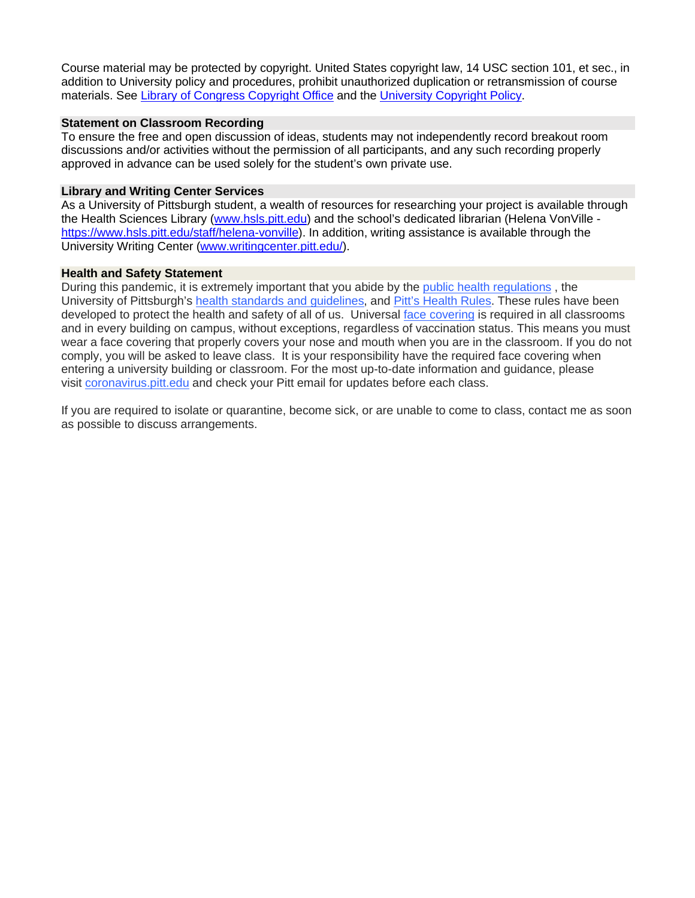Course material may be protected by copyright. United States copyright law, 14 USC section 101, et sec., in addition to University policy and procedures, prohibit unauthorized duplication or retransmission of course materials. See [Library of Congress Copyright Office](http://www.copyright.gov/) and th[e University Copyright Policy.](https://www.policy.pitt.edu/cs-03-copying-copyrighted-material-formerly-10-04-01)

#### **Statement on Classroom Recording**

To ensure the free and open discussion of ideas, students may not independently record breakout room discussions and/or activities without the permission of all participants, and any such recording properly approved in advance can be used solely for the student's own private use.

#### **Library and Writing Center Services**

As a University of Pittsburgh student, a wealth of resources for researching your project is available through the Health Sciences Library [\(www.hsls.pitt.edu\)](http://www.hsls.pitt.edu/) and the school's dedicated librarian (Helena VonVille [https://www.hsls.pitt.edu/staff/helena-vonville\)](https://www.hsls.pitt.edu/staff/helena-vonville). In addition, writing assistance is available through the University Writing Center [\(www.writingcenter.pitt.edu/\)](http://www.writingcenter.pitt.edu/).

#### **Health and Safety Statement**

During this pandemic, it is extremely important that you abide by the [public health regulations](https://www.alleghenycounty.us/Health-Department/Resources/COVID-19/COVID-19.aspx) , the University of Pittsburgh's [health standards and guidelines,](https://www.policy.pitt.edu/university-policies-and-procedures/covid-19-standards-and-guidelines) and [Pitt's Health Rules.](https://www.coronavirus.pitt.edu/healthy-community/pitts-health-rules) These rules have been developed to protect the health and safety of all of us. Universal [face covering](https://www.coronavirus.pitt.edu/frequently-asked-questions-about-face-coverings) is required in all classrooms and in every building on campus, without exceptions, regardless of vaccination status. This means you must wear a face covering that properly covers your nose and mouth when you are in the classroom. If you do not comply, you will be asked to leave class. It is your responsibility have the required face covering when entering a university building or classroom. For the most up-to-date information and guidance, please visit [coronavirus.pitt.edu](http://coronavirus.pitt.edu/) and check your Pitt email for updates before each class.

If you are required to isolate or quarantine, become sick, or are unable to come to class, contact me as soon as possible to discuss arrangements.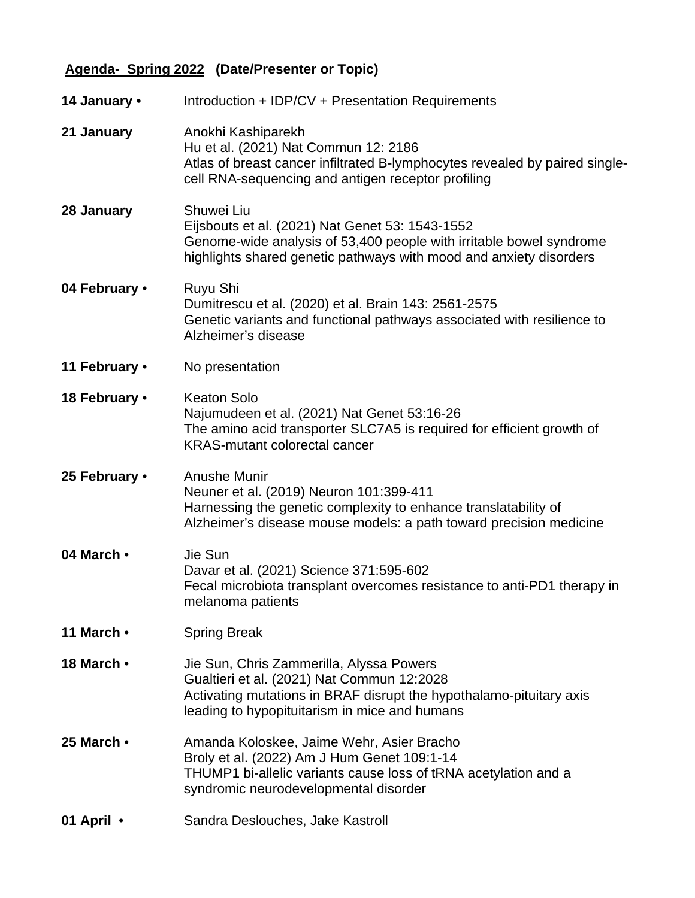# **Agenda- Spring 2022 (Date/Presenter or Topic)**

| 14 January •  | Introduction + IDP/CV + Presentation Requirements                                                                                                                                                              |
|---------------|----------------------------------------------------------------------------------------------------------------------------------------------------------------------------------------------------------------|
| 21 January    | Anokhi Kashiparekh<br>Hu et al. (2021) Nat Commun 12: 2186<br>Atlas of breast cancer infiltrated B-lymphocytes revealed by paired single-<br>cell RNA-sequencing and antigen receptor profiling                |
| 28 January    | Shuwei Liu<br>Eijsbouts et al. (2021) Nat Genet 53: 1543-1552<br>Genome-wide analysis of 53,400 people with irritable bowel syndrome<br>highlights shared genetic pathways with mood and anxiety disorders     |
| 04 February • | Ruyu Shi<br>Dumitrescu et al. (2020) et al. Brain 143: 2561-2575<br>Genetic variants and functional pathways associated with resilience to<br>Alzheimer's disease                                              |
| 11 February • | No presentation                                                                                                                                                                                                |
| 18 February • | <b>Keaton Solo</b><br>Najumudeen et al. (2021) Nat Genet 53:16-26<br>The amino acid transporter SLC7A5 is required for efficient growth of<br><b>KRAS-mutant colorectal cancer</b>                             |
| 25 February • | <b>Anushe Munir</b><br>Neuner et al. (2019) Neuron 101:399-411<br>Harnessing the genetic complexity to enhance translatability of<br>Alzheimer's disease mouse models: a path toward precision medicine        |
| 04 March •    | Jie Sun<br>Davar et al. (2021) Science 371:595-602<br>Fecal microbiota transplant overcomes resistance to anti-PD1 therapy in<br>melanoma patients                                                             |
| 11 March •    | <b>Spring Break</b>                                                                                                                                                                                            |
| 18 March •    | Jie Sun, Chris Zammerilla, Alyssa Powers<br>Gualtieri et al. (2021) Nat Commun 12:2028<br>Activating mutations in BRAF disrupt the hypothalamo-pituitary axis<br>leading to hypopituitarism in mice and humans |
| 25 March •    | Amanda Koloskee, Jaime Wehr, Asier Bracho<br>Broly et al. (2022) Am J Hum Genet 109:1-14<br>THUMP1 bi-allelic variants cause loss of tRNA acetylation and a<br>syndromic neurodevelopmental disorder           |
| 01 April •    | Sandra Deslouches, Jake Kastroll                                                                                                                                                                               |